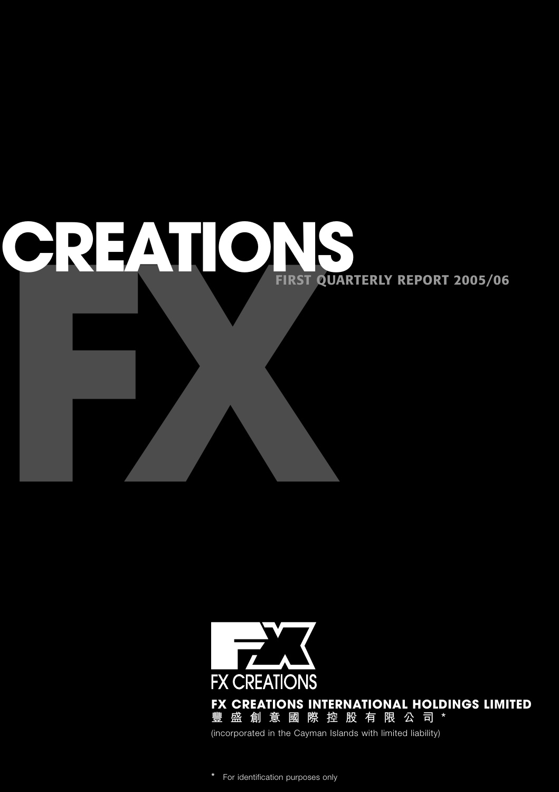# **FREATION FIRST QUARTERLY REPORT 2005/06**



**\*** For identification purposes only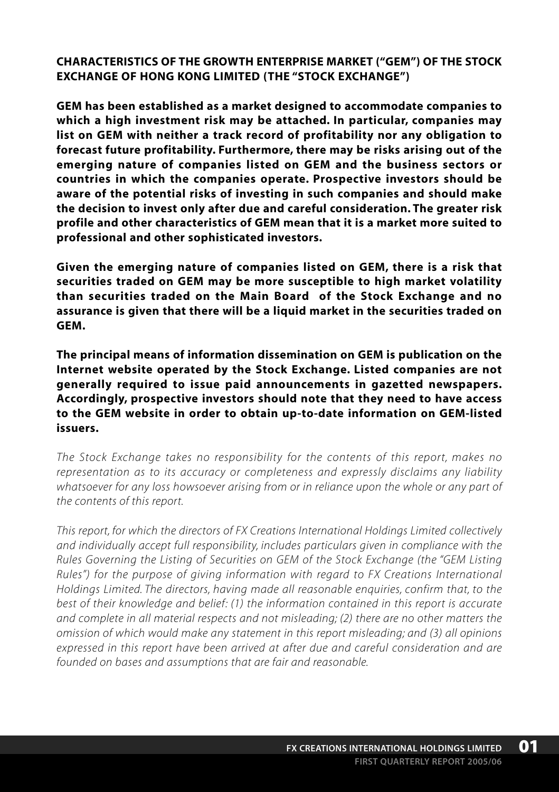**CHARACTERISTICS OF THE GROWTH ENTERPRISE MARKET ("GEM") OF THE STOCK EXCHANGE OF HONG KONG LIMITED (THE "STOCK EXCHANGE")**

**GEM has been established as a market designed to accommodate companies to which a high investment risk may be attached. In particular, companies may list on GEM with neither a track record of profitability nor any obligation to forecast future profitability. Furthermore, there may be risks arising out of the emerging nature of companies listed on GEM and the business sectors or countries in which the companies operate. Prospective investors should be aware of the potential risks of investing in such companies and should make the decision to invest only after due and careful consideration. The greater risk profile and other characteristics of GEM mean that it is a market more suited to professional and other sophisticated investors.**

**Given the emerging nature of companies listed on GEM, there is a risk that securities traded on GEM may be more susceptible to high market volatility than securities traded on the Main Board of the Stock Exchange and no assurance is given that there will be a liquid market in the securities traded on GEM.**

**The principal means of information dissemination on GEM is publication on the Internet website operated by the Stock Exchange. Listed companies are not generally required to issue paid announcements in gazetted newspapers. Accordingly, prospective investors should note that they need to have access to the GEM website in order to obtain up-to-date information on GEM-listed issuers.**

*The Stock Exchange takes no responsibility for the contents of this report, makes no representation as to its accuracy or completeness and expressly disclaims any liability whatsoever for any loss howsoever arising from or in reliance upon the whole or any part of the contents of this report.*

*This report, for which the directors of FX Creations International Holdings Limited collectively and individually accept full responsibility, includes particulars given in compliance with the Rules Governing the Listing of Securities on GEM of the Stock Exchange (the "GEM Listing Rules") for the purpose of giving information with regard to FX Creations International Holdings Limited. The directors, having made all reasonable enquiries, confirm that, to the best of their knowledge and belief: (1) the information contained in this report is accurate and complete in all material respects and not misleading; (2) there are no other matters the omission of which would make any statement in this report misleading; and (3) all opinions expressed in this report have been arrived at after due and careful consideration and are founded on bases and assumptions that are fair and reasonable.*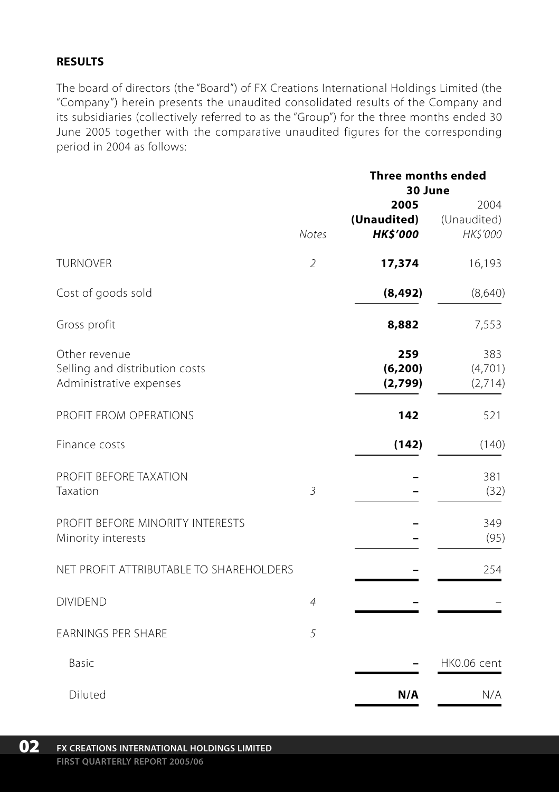# **RESULTS**

The board of directors (the "Board") of FX Creations International Holdings Limited (the "Company") herein presents the unaudited consolidated results of the Company and its subsidiaries (collectively referred to as the "Group") for the three months ended 30 June 2005 together with the comparative unaudited figures for the corresponding period in 2004 as follows:

|                                                                            | <b>Notes</b>   | <b>Three months ended</b><br>30 June   |                                 |
|----------------------------------------------------------------------------|----------------|----------------------------------------|---------------------------------|
|                                                                            |                | 2005<br>(Unaudited)<br><b>HK\$'000</b> | 2004<br>(Unaudited)<br>HK\$'000 |
| <b>TURNOVER</b>                                                            | $\mathfrak{2}$ | 17,374                                 | 16,193                          |
| Cost of goods sold                                                         |                | (8, 492)                               | (8,640)                         |
| Gross profit                                                               |                | 8,882                                  | 7,553                           |
| Other revenue<br>Selling and distribution costs<br>Administrative expenses |                | 259<br>(6, 200)<br>(2,799)             | 383<br>(4,701)<br>(2,714)       |
| PROFIT FROM OPERATIONS                                                     |                | 142                                    | 521                             |
| Finance costs                                                              |                | (142)                                  | (140)                           |
| PROFIT BEFORE TAXATION<br>Taxation                                         | 3              |                                        | 381<br>(32)                     |
| PROFIT BEFORE MINORITY INTERESTS<br>Minority interests                     |                |                                        | 349<br>(95)                     |
| NET PROFIT ATTRIBUTABLE TO SHAREHOLDERS                                    |                |                                        | 254                             |
| <b>DIVIDEND</b>                                                            | $\overline{4}$ |                                        |                                 |
| <b>EARNINGS PER SHARE</b>                                                  | 5              |                                        |                                 |
| Basic                                                                      |                |                                        | HK0.06 cent                     |
| Diluted                                                                    |                | N/A                                    | N/A                             |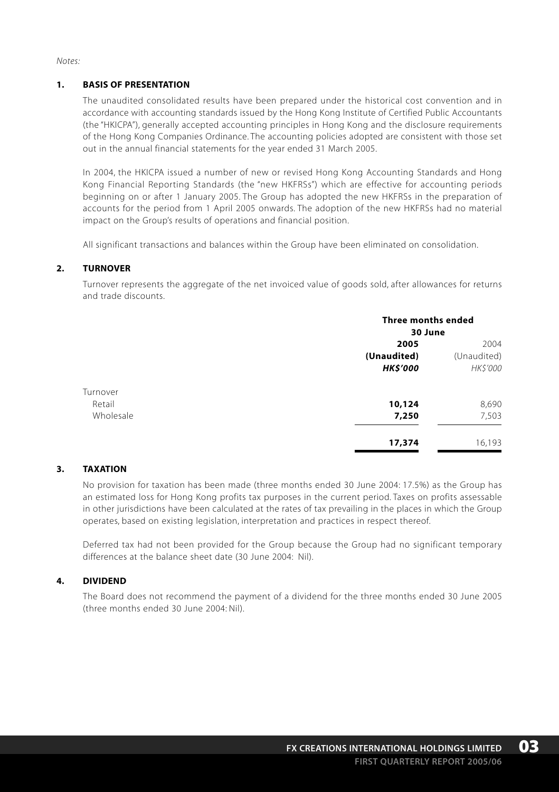*Notes:*

#### **1. BASIS OF PRESENTATION**

The unaudited consolidated results have been prepared under the historical cost convention and in accordance with accounting standards issued by the Hong Kong Institute of Certified Public Accountants (the "HKICPA"), generally accepted accounting principles in Hong Kong and the disclosure requirements of the Hong Kong Companies Ordinance. The accounting policies adopted are consistent with those set out in the annual financial statements for the year ended 31 March 2005.

In 2004, the HKICPA issued a number of new or revised Hong Kong Accounting Standards and Hong Kong Financial Reporting Standards (the "new HKFRSs") which are effective for accounting periods beginning on or after 1 January 2005. The Group has adopted the new HKFRSs in the preparation of accounts for the period from 1 April 2005 onwards. The adoption of the new HKFRSs had no material impact on the Group's results of operations and financial position.

All significant transactions and balances within the Group have been eliminated on consolidation.

#### **2. TURNOVER**

Turnover represents the aggregate of the net invoiced value of goods sold, after allowances for returns and trade discounts.

|           | <b>Three months ended</b> |                 |  |
|-----------|---------------------------|-----------------|--|
|           | 30 June                   |                 |  |
|           | 2005                      | 2004            |  |
|           | (Unaudited)               | (Unaudited)     |  |
|           | <b>HK\$'000</b>           | <b>HK\$'000</b> |  |
| Turnover  |                           |                 |  |
| Retail    | 10,124                    | 8,690           |  |
| Wholesale | 7,250                     | 7,503           |  |
|           | 17,374                    | 16,193          |  |

#### **3. TAXATION**

No provision for taxation has been made (three months ended 30 June 2004: 17.5%) as the Group has an estimated loss for Hong Kong profits tax purposes in the current period. Taxes on profits assessable in other jurisdictions have been calculated at the rates of tax prevailing in the places in which the Group operates, based on existing legislation, interpretation and practices in respect thereof.

Deferred tax had not been provided for the Group because the Group had no significant temporary differences at the balance sheet date (30 June 2004: Nil).

#### **4. DIVIDEND**

The Board does not recommend the payment of a dividend for the three months ended 30 June 2005 (three months ended 30 June 2004: Nil).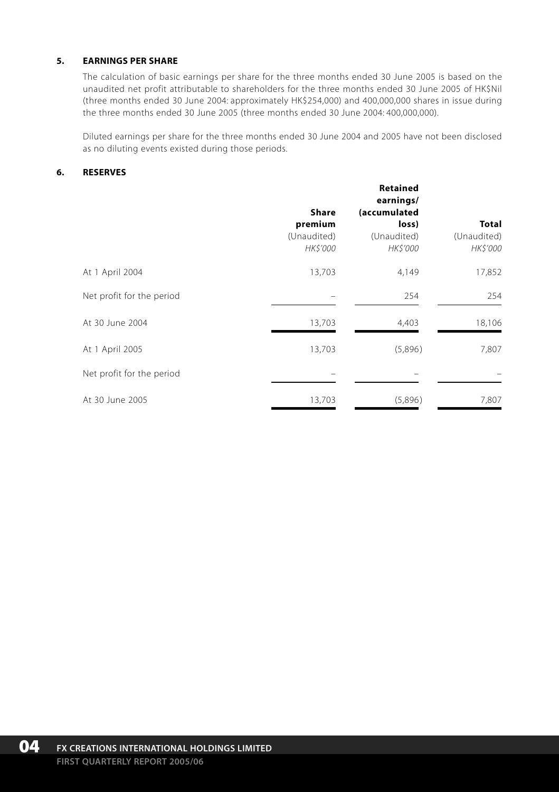#### **5. EARNINGS PER SHARE**

The calculation of basic earnings per share for the three months ended 30 June 2005 is based on the unaudited net profit attributable to shareholders for the three months ended 30 June 2005 of HK\$Nil (three months ended 30 June 2004: approximately HK\$254,000) and 400,000,000 shares in issue during the three months ended 30 June 2005 (three months ended 30 June 2004: 400,000,000).

Diluted earnings per share for the three months ended 30 June 2004 and 2005 have not been disclosed as no diluting events existed during those periods.

#### **6. RESERVES**

|                           |             | Retained<br>earnings/ |              |  |
|---------------------------|-------------|-----------------------|--------------|--|
|                           | Share       | (accumulated          |              |  |
|                           | premium     | loss)                 | <b>Total</b> |  |
|                           | (Unaudited) | (Unaudited)           | (Unaudited)  |  |
|                           | HK\$'000    | HK\$'000              | HK\$'000     |  |
| At 1 April 2004           | 13,703      | 4,149                 | 17,852       |  |
| Net profit for the period |             | 254                   | 254          |  |
| At 30 June 2004           | 13,703      | 4,403                 | 18,106       |  |
| At 1 April 2005           | 13,703      | (5,896)               | 7,807        |  |
| Net profit for the period |             |                       |              |  |
| At 30 June 2005           | 13,703      | (5,896)               | 7,807        |  |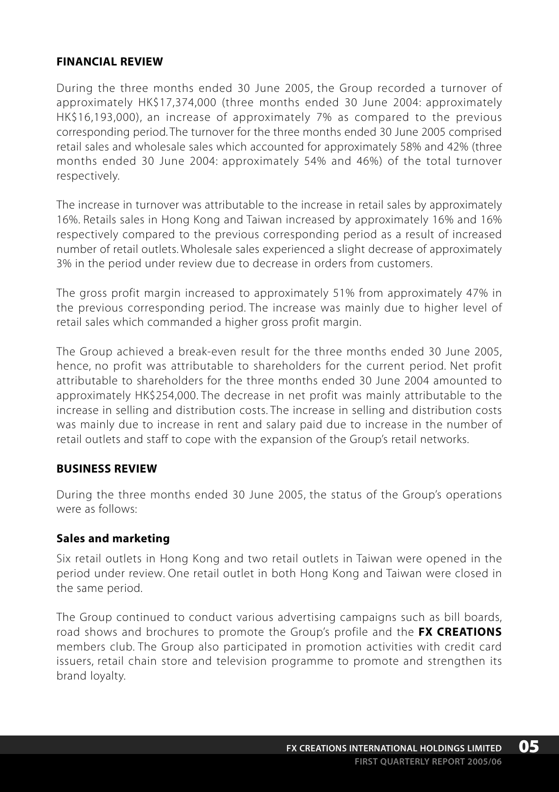#### **FINANCIAL REVIEW**

During the three months ended 30 June 2005, the Group recorded a turnover of approximately HK\$17,374,000 (three months ended 30 June 2004: approximately HK\$16,193,000), an increase of approximately 7% as compared to the previous corresponding period. The turnover for the three months ended 30 June 2005 comprised retail sales and wholesale sales which accounted for approximately 58% and 42% (three months ended 30 June 2004: approximately 54% and 46%) of the total turnover respectively.

The increase in turnover was attributable to the increase in retail sales by approximately 16%. Retails sales in Hong Kong and Taiwan increased by approximately 16% and 16% respectively compared to the previous corresponding period as a result of increased number of retail outlets. Wholesale sales experienced a slight decrease of approximately 3% in the period under review due to decrease in orders from customers.

The gross profit margin increased to approximately 51% from approximately 47% in the previous corresponding period. The increase was mainly due to higher level of retail sales which commanded a higher gross profit margin.

The Group achieved a break-even result for the three months ended 30 June 2005, hence, no profit was attributable to shareholders for the current period. Net profit attributable to shareholders for the three months ended 30 June 2004 amounted to approximately HK\$254,000. The decrease in net profit was mainly attributable to the increase in selling and distribution costs. The increase in selling and distribution costs was mainly due to increase in rent and salary paid due to increase in the number of retail outlets and staff to cope with the expansion of the Group's retail networks.

#### **BUSINESS REVIEW**

During the three months ended 30 June 2005, the status of the Group's operations were as follows:

#### **Sales and marketing**

Six retail outlets in Hong Kong and two retail outlets in Taiwan were opened in the period under review. One retail outlet in both Hong Kong and Taiwan were closed in the same period.

The Group continued to conduct various advertising campaigns such as bill boards, road shows and brochures to promote the Group's profile and the **FX CREATIONS** members club. The Group also participated in promotion activities with credit card issuers, retail chain store and television programme to promote and strengthen its brand loyalty.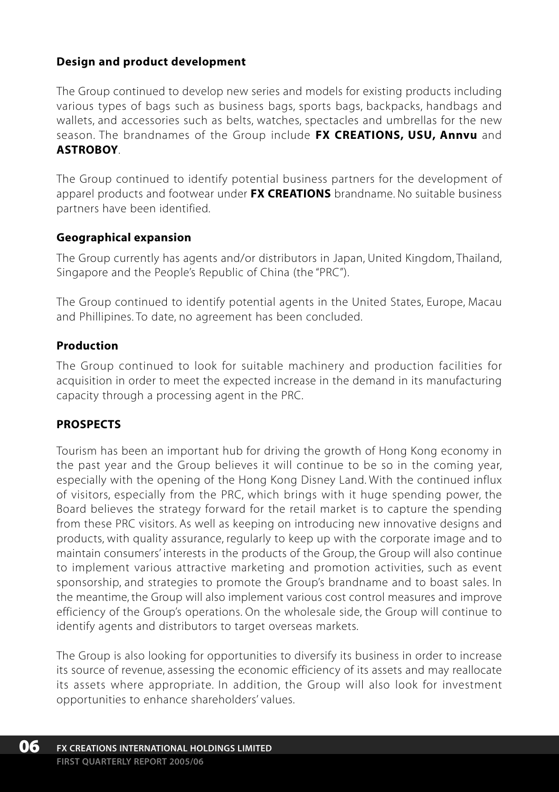# **Design and product development**

The Group continued to develop new series and models for existing products including various types of bags such as business bags, sports bags, backpacks, handbags and wallets, and accessories such as belts, watches, spectacles and umbrellas for the new season. The brandnames of the Group include **FX CREATIONS, USU, Annvu** and **ASTROBOY**.

The Group continued to identify potential business partners for the development of apparel products and footwear under **FX CREATIONS** brandname. No suitable business partners have been identified.

#### **Geographical expansion**

The Group currently has agents and/or distributors in Japan, United Kingdom, Thailand, Singapore and the People's Republic of China (the "PRC").

The Group continued to identify potential agents in the United States, Europe, Macau and Phillipines. To date, no agreement has been concluded.

#### **Production**

The Group continued to look for suitable machinery and production facilities for acquisition in order to meet the expected increase in the demand in its manufacturing capacity through a processing agent in the PRC.

# **PROSPECTS**

Tourism has been an important hub for driving the growth of Hong Kong economy in the past year and the Group believes it will continue to be so in the coming year, especially with the opening of the Hong Kong Disney Land. With the continued influx of visitors, especially from the PRC, which brings with it huge spending power, the Board believes the strategy forward for the retail market is to capture the spending from these PRC visitors. As well as keeping on introducing new innovative designs and products, with quality assurance, regularly to keep up with the corporate image and to maintain consumers' interests in the products of the Group, the Group will also continue to implement various attractive marketing and promotion activities, such as event sponsorship, and strategies to promote the Group's brandname and to boast sales. In the meantime, the Group will also implement various cost control measures and improve efficiency of the Group's operations. On the wholesale side, the Group will continue to identify agents and distributors to target overseas markets.

The Group is also looking for opportunities to diversify its business in order to increase its source of revenue, assessing the economic efficiency of its assets and may reallocate its assets where appropriate. In addition, the Group will also look for investment opportunities to enhance shareholders' values.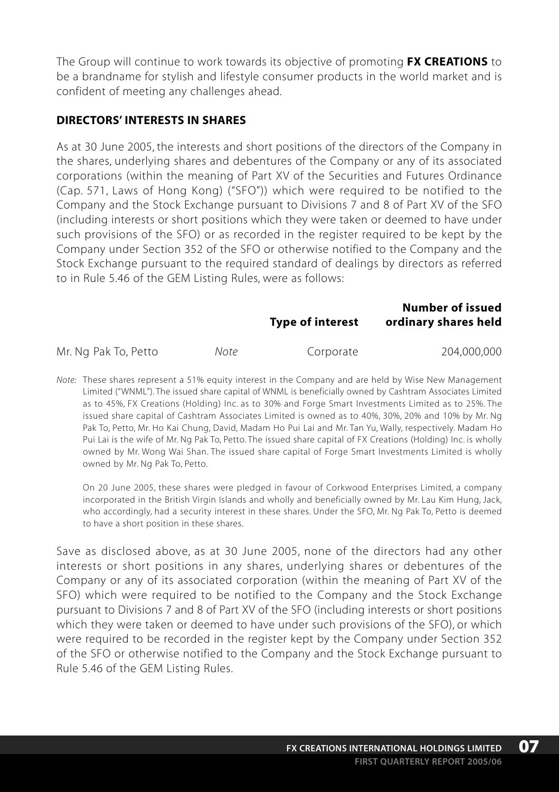The Group will continue to work towards its objective of promoting **FX CREATIONS** to be a brandname for stylish and lifestyle consumer products in the world market and is confident of meeting any challenges ahead.

#### **DIRECTORS' INTERESTS IN SHARES**

As at 30 June 2005, the interests and short positions of the directors of the Company in the shares, underlying shares and debentures of the Company or any of its associated corporations (within the meaning of Part XV of the Securities and Futures Ordinance (Cap. 571, Laws of Hong Kong) ("SFO")) which were required to be notified to the Company and the Stock Exchange pursuant to Divisions 7 and 8 of Part XV of the SFO (including interests or short positions which they were taken or deemed to have under such provisions of the SFO) or as recorded in the register required to be kept by the Company under Section 352 of the SFO or otherwise notified to the Company and the Stock Exchange pursuant to the required standard of dealings by directors as referred to in Rule 5.46 of the GEM Listing Rules, were as follows:

**Type of interest ordinary shares held**

**Number of issued**

Mr. Ng Pak To, Petto *Note* Corporate 204,000,000

*Note:* These shares represent a 51% equity interest in the Company and are held by Wise New Management Limited ("WNML"). The issued share capital of WNML is beneficially owned by Cashtram Associates Limited as to 45%, FX Creations (Holding) Inc. as to 30% and Forge Smart Investments Limited as to 25%. The issued share capital of Cashtram Associates Limited is owned as to 40%, 30%, 20% and 10% by Mr. Ng Pak To, Petto, Mr. Ho Kai Chung, David, Madam Ho Pui Lai and Mr. Tan Yu, Wally, respectively. Madam Ho Pui Lai is the wife of Mr. Ng Pak To, Petto. The issued share capital of FX Creations (Holding) Inc. is wholly owned by Mr. Wong Wai Shan. The issued share capital of Forge Smart Investments Limited is wholly owned by Mr. Ng Pak To, Petto.

On 20 June 2005, these shares were pledged in favour of Corkwood Enterprises Limited, a company incorporated in the British Virgin Islands and wholly and beneficially owned by Mr. Lau Kim Hung, Jack, who accordingly, had a security interest in these shares. Under the SFO, Mr. Ng Pak To, Petto is deemed to have a short position in these shares.

Save as disclosed above, as at 30 June 2005, none of the directors had any other interests or short positions in any shares, underlying shares or debentures of the Company or any of its associated corporation (within the meaning of Part XV of the SFO) which were required to be notified to the Company and the Stock Exchange pursuant to Divisions 7 and 8 of Part XV of the SFO (including interests or short positions which they were taken or deemed to have under such provisions of the SFO), or which were required to be recorded in the register kept by the Company under Section 352 of the SFO or otherwise notified to the Company and the Stock Exchange pursuant to Rule 5.46 of the GEM Listing Rules.

**07**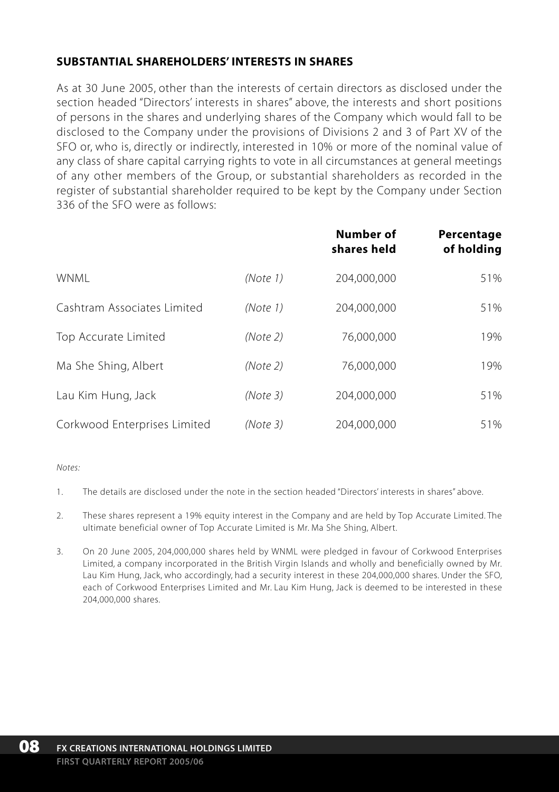# **SUBSTANTIAL SHAREHOLDERS' INTERESTS IN SHARES**

As at 30 June 2005, other than the interests of certain directors as disclosed under the section headed "Directors' interests in shares" above, the interests and short positions of persons in the shares and underlying shares of the Company which would fall to be disclosed to the Company under the provisions of Divisions 2 and 3 of Part XV of the SFO or, who is, directly or indirectly, interested in 10% or more of the nominal value of any class of share capital carrying rights to vote in all circumstances at general meetings of any other members of the Group, or substantial shareholders as recorded in the register of substantial shareholder required to be kept by the Company under Section 336 of the SFO were as follows:

|                              |          | Number of<br>shares held | Percentage<br>of holding |
|------------------------------|----------|--------------------------|--------------------------|
| <b>WNMI</b>                  | (Note 1) | 204.000.000              | 51%                      |
| Cashtram Associates Limited  | (Note 1) | 204,000,000              | 51%                      |
| Top Accurate Limited         | (Note 2) | 76,000,000               | 19%                      |
| Ma She Shing, Albert         | (Note 2) | 76,000,000               | 19%                      |
| Lau Kim Hung, Jack           | (Note3)  | 204,000,000              | 51%                      |
| Corkwood Enterprises Limited | (Note 3) | 204.000.000              | 51%                      |

#### *Notes:*

- 1. The details are disclosed under the note in the section headed "Directors' interests in shares" above.
- 2. These shares represent a 19% equity interest in the Company and are held by Top Accurate Limited. The ultimate beneficial owner of Top Accurate Limited is Mr. Ma She Shing, Albert.
- 3. On 20 June 2005, 204,000,000 shares held by WNML were pledged in favour of Corkwood Enterprises Limited, a company incorporated in the British Virgin Islands and wholly and beneficially owned by Mr. Lau Kim Hung, Jack, who accordingly, had a security interest in these 204,000,000 shares. Under the SFO, each of Corkwood Enterprises Limited and Mr. Lau Kim Hung, Jack is deemed to be interested in these 204,000,000 shares.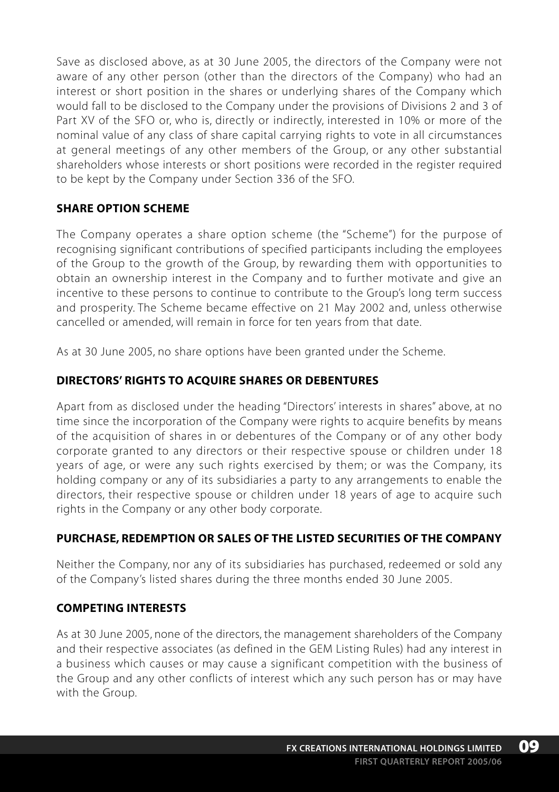Save as disclosed above, as at 30 June 2005, the directors of the Company were not aware of any other person (other than the directors of the Company) who had an interest or short position in the shares or underlying shares of the Company which would fall to be disclosed to the Company under the provisions of Divisions 2 and 3 of Part XV of the SFO or, who is, directly or indirectly, interested in 10% or more of the nominal value of any class of share capital carrying rights to vote in all circumstances at general meetings of any other members of the Group, or any other substantial shareholders whose interests or short positions were recorded in the register required to be kept by the Company under Section 336 of the SFO.

# **SHARE OPTION SCHEME**

The Company operates a share option scheme (the "Scheme") for the purpose of recognising significant contributions of specified participants including the employees of the Group to the growth of the Group, by rewarding them with opportunities to obtain an ownership interest in the Company and to further motivate and give an incentive to these persons to continue to contribute to the Group's long term success and prosperity. The Scheme became effective on 21 May 2002 and, unless otherwise cancelled or amended, will remain in force for ten years from that date.

As at 30 June 2005, no share options have been granted under the Scheme.

# **DIRECTORS' RIGHTS TO ACQUIRE SHARES OR DEBENTURES**

Apart from as disclosed under the heading "Directors' interests in shares" above, at no time since the incorporation of the Company were rights to acquire benefits by means of the acquisition of shares in or debentures of the Company or of any other body corporate granted to any directors or their respective spouse or children under 18 years of age, or were any such rights exercised by them; or was the Company, its holding company or any of its subsidiaries a party to any arrangements to enable the directors, their respective spouse or children under 18 years of age to acquire such rights in the Company or any other body corporate.

# **PURCHASE, REDEMPTION OR SALES OF THE LISTED SECURITIES OF THE COMPANY**

Neither the Company, nor any of its subsidiaries has purchased, redeemed or sold any of the Company's listed shares during the three months ended 30 June 2005.

# **COMPETING INTERESTS**

As at 30 June 2005, none of the directors, the management shareholders of the Company and their respective associates (as defined in the GEM Listing Rules) had any interest in a business which causes or may cause a significant competition with the business of the Group and any other conflicts of interest which any such person has or may have with the Group.